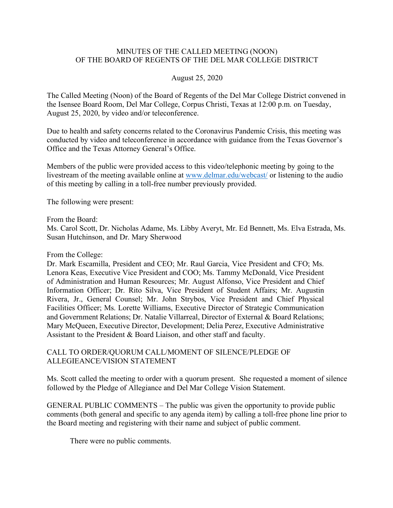#### MINUTES OF THE CALLED MEETING (NOON) OF THE BOARD OF REGENTS OF THE DEL MAR COLLEGE DISTRICT

#### August 25, 2020

The Called Meeting (Noon) of the Board of Regents of the Del Mar College District convened in the Isensee Board Room, Del Mar College, Corpus Christi, Texas at 12:00 p.m. on Tuesday, August 25, 2020, by video and/or teleconference.

Due to health and safety concerns related to the Coronavirus Pandemic Crisis, this meeting was conducted by video and teleconference in accordance with guidance from the Texas Governor's Office and the Texas Attorney General's Office.

Members of the public were provided access to this video/telephonic meeting by going to the livestream of the meeting available online at www.delmar.edu/webcast/ or listening to the audio of this meeting by calling in a toll-free number previously provided.

The following were present:

From the Board:

Ms. Carol Scott, Dr. Nicholas Adame, Ms. Libby Averyt, Mr. Ed Bennett, Ms. Elva Estrada, Ms. Susan Hutchinson, and Dr. Mary Sherwood

From the College:

Dr. Mark Escamilla, President and CEO; Mr. Raul Garcia, Vice President and CFO; Ms. Lenora Keas, Executive Vice President and COO; Ms. Tammy McDonald, Vice President of Administration and Human Resources; Mr. August Alfonso, Vice President and Chief Information Officer; Dr. Rito Silva, Vice President of Student Affairs; Mr. Augustin Rivera, Jr., General Counsel; Mr. John Strybos, Vice President and Chief Physical Facilities Officer; Ms. Lorette Williams, Executive Director of Strategic Communication and Government Relations; Dr. Natalie Villarreal, Director of External & Board Relations; Mary McQueen, Executive Director, Development; Delia Perez, Executive Administrative Assistant to the President & Board Liaison, and other staff and faculty.

CALL TO ORDER/QUORUM CALL/MOMENT OF SILENCE/PLEDGE OF ALLEGIEANCE/VISION STATEMENT

Ms. Scott called the meeting to order with a quorum present. She requested a moment of silence followed by the Pledge of Allegiance and Del Mar College Vision Statement.

GENERAL PUBLIC COMMENTS – The public was given the opportunity to provide public comments (both general and specific to any agenda item) by calling a toll-free phone line prior to the Board meeting and registering with their name and subject of public comment.

There were no public comments.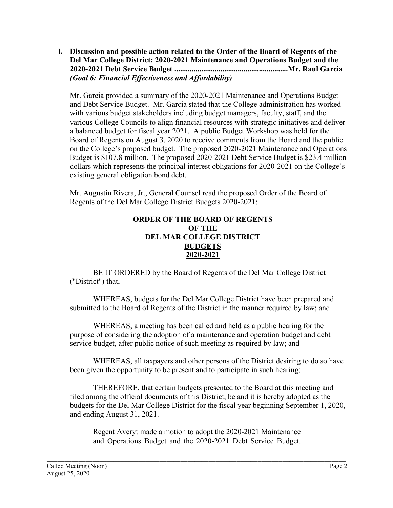**l. Discussion and possible action related to the Order of the Board of Regents of the Del Mar College District: 2020-2021 Maintenance and Operations Budget and the 2020-2021 Debt Service Budget ...........................................................Mr. Raul Garcia** *(Goal 6: Financial Effectiveness and Affordability)*

Mr. Garcia provided a summary of the 2020-2021 Maintenance and Operations Budget and Debt Service Budget. Mr. Garcia stated that the College administration has worked with various budget stakeholders including budget managers, faculty, staff, and the various College Councils to align financial resources with strategic initiatives and deliver a balanced budget for fiscal year 2021. A public Budget Workshop was held for the Board of Regents on August 3, 2020 to receive comments from the Board and the public on the College's proposed budget. The proposed 2020-2021 Maintenance and Operations Budget is \$107.8 million. The proposed 2020-2021 Debt Service Budget is \$23.4 million dollars which represents the principal interest obligations for 2020-2021 on the College's existing general obligation bond debt.

Mr. Augustin Rivera, Jr., General Counsel read the proposed Order of the Board of Regents of the Del Mar College District Budgets 2020-2021:

## **ORDER OF THE BOARD OF REGENTS OF THE DEL MAR COLLEGE DISTRICT BUDGETS 2020-2021**

BE IT ORDERED by the Board of Regents of the Del Mar College District ("District") that,

WHEREAS, budgets for the Del Mar College District have been prepared and submitted to the Board of Regents of the District in the manner required by law; and

WHEREAS, a meeting has been called and held as a public hearing for the purpose of considering the adoption of a maintenance and operation budget and debt service budget, after public notice of such meeting as required by law; and

WHEREAS, all taxpayers and other persons of the District desiring to do so have been given the opportunity to be present and to participate in such hearing;

THEREFORE, that certain budgets presented to the Board at this meeting and filed among the official documents of this District, be and it is hereby adopted as the budgets for the Del Mar College District for the fiscal year beginning September 1, 2020, and ending August 31, 2021.

Regent Averyt made a motion to adopt the 2020-2021 Maintenance and Operations Budget and the 2020-2021 Debt Service Budget.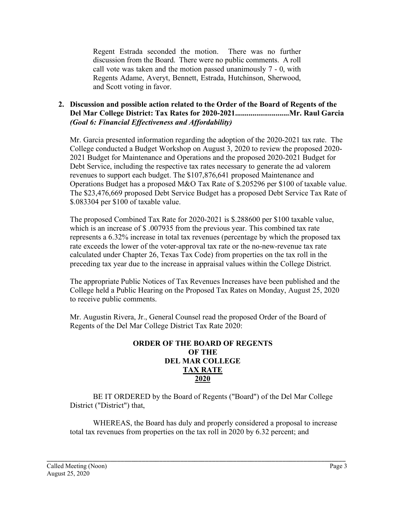Regent Estrada seconded the motion. There was no further discussion from the Board. There were no public comments. A roll call vote was taken and the motion passed unanimously 7 - 0, with Regents Adame, Averyt, Bennett, Estrada, Hutchinson, Sherwood, and Scott voting in favor.

## **2. Discussion and possible action related to the Order of the Board of Regents of the Del Mar College District: Tax Rates for 2020-2021............................Mr. Raul Garcia** *(Goal 6: Financial Effectiveness and Affordability)*

Mr. Garcia presented information regarding the adoption of the 2020-2021 tax rate. The College conducted a Budget Workshop on August 3, 2020 to review the proposed 2020- 2021 Budget for Maintenance and Operations and the proposed 2020-2021 Budget for Debt Service, including the respective tax rates necessary to generate the ad valorem revenues to support each budget. The \$107,876,641 proposed Maintenance and Operations Budget has a proposed M&O Tax Rate of \$.205296 per \$100 of taxable value. The \$23,476,669 proposed Debt Service Budget has a proposed Debt Service Tax Rate of \$.083304 per \$100 of taxable value.

The proposed Combined Tax Rate for 2020-2021 is \$.288600 per \$100 taxable value, which is an increase of \$ .007935 from the previous year. This combined tax rate represents a 6.32% increase in total tax revenues (percentage by which the proposed tax rate exceeds the lower of the voter-approval tax rate or the no-new-revenue tax rate calculated under Chapter 26, Texas Tax Code) from properties on the tax roll in the preceding tax year due to the increase in appraisal values within the College District.

The appropriate Public Notices of Tax Revenues Increases have been published and the College held a Public Hearing on the Proposed Tax Rates on Monday, August 25, 2020 to receive public comments.

Mr. Augustin Rivera, Jr., General Counsel read the proposed Order of the Board of Regents of the Del Mar College District Tax Rate 2020:

#### **ORDER OF THE BOARD OF REGENTS OF THE DEL MAR COLLEGE TAX RATE 2020**

BE IT ORDERED by the Board of Regents ("Board") of the Del Mar College District ("District") that,

WHEREAS, the Board has duly and properly considered a proposal to increase total tax revenues from properties on the tax roll in 2020 by 6.32 percent; and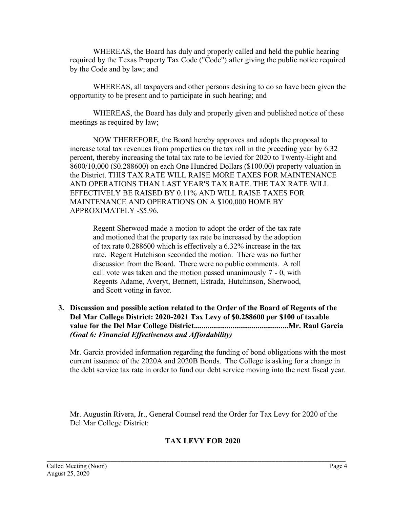WHEREAS, the Board has duly and properly called and held the public hearing required by the Texas Property Tax Code ("Code") after giving the public notice required by the Code and by law; and

WHEREAS, all taxpayers and other persons desiring to do so have been given the opportunity to be present and to participate in such hearing; and

WHEREAS, the Board has duly and properly given and published notice of these meetings as required by law;

NOW THEREFORE, the Board hereby approves and adopts the proposal to increase total tax revenues from properties on the tax roll in the preceding year by 6.32 percent, thereby increasing the total tax rate to be levied for 2020 to Twenty-Eight and 8600/10,000 (\$0.288600) on each One Hundred Dollars (\$100.00) property valuation in the District. THIS TAX RATE WILL RAISE MORE TAXES FOR MAINTENANCE AND OPERATIONS THAN LAST YEAR'S TAX RATE. THE TAX RATE WlLL EFFECTIVELY BE RAISED BY 0.11% AND WILL RAISE TAXES FOR MAINTENANCE AND OPERATIONS ON A \$100,000 HOME BY APPROXIMATELY -\$5.96.

Regent Sherwood made a motion to adopt the order of the tax rate and motioned that the property tax rate be increased by the adoption of tax rate 0.288600 which is effectively a 6.32% increase in the tax rate. Regent Hutchison seconded the motion. There was no further discussion from the Board. There were no public comments. A roll call vote was taken and the motion passed unanimously 7 - 0, with Regents Adame, Averyt, Bennett, Estrada, Hutchinson, Sherwood, and Scott voting in favor.

### **3. Discussion and possible action related to the Order of the Board of Regents of the Del Mar College District: 2020-2021 Tax Levy of \$0.288600 per \$100 of taxable value for the Del Mar College District.................................................Mr. Raul Garcia** *(Goal 6: Financial Effectiveness and Affordability)*

Mr. Garcia provided information regarding the funding of bond obligations with the most current issuance of the 2020A and 2020B Bonds. The College is asking for a change in the debt service tax rate in order to fund our debt service moving into the next fiscal year.

Mr. Augustin Rivera, Jr., General Counsel read the Order for Tax Levy for 2020 of the Del Mar College District:

# **TAX LEVY FOR 2020**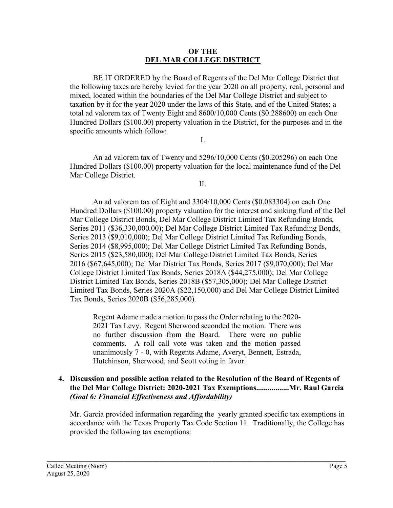#### **OF THE DEL MAR COLLEGE DISTRICT**

BE IT ORDERED by the Board of Regents of the Del Mar College District that the following taxes are hereby levied for the year 2020 on all property, real, personal and mixed, located within the boundaries of the Del Mar College District and subject to taxation by it for the year 2020 under the laws of this State, and of the United States; a total ad valorem tax of Twenty Eight and 8600/10,000 Cents (\$0.288600) on each One Hundred Dollars (\$100.00) property valuation in the District, for the purposes and in the specific amounts which follow:

I.

An ad valorem tax of Twenty and 5296/10,000 Cents (\$0.205296) on each One Hundred Dollars (\$100.00) property valuation for the local maintenance fund of the Del Mar College District.

II.

An ad valorem tax of Eight and 3304/10,000 Cents (\$0.083304) on each One Hundred Dollars (\$100.00) property valuation for the interest and sinking fund of the Del Mar College District Bonds, Del Mar College District Limited Tax Refunding Bonds, Series 2011 (\$36,330,000.00); Del Mar College District Limited Tax Refunding Bonds, Series 2013 (\$9,010,000); Del Mar College District Limited Tax Refunding Bonds, Series 2014 (\$8,995,000); Del Mar College District Limited Tax Refunding Bonds, Series 2015 (\$23,580,000); Del Mar College District Limited Tax Bonds, Series 2016 (\$67,645,000); Del Mar District Tax Bonds, Series 2017 (\$9,070,000); Del Mar College District Limited Tax Bonds, Series 2018A (\$44,275,000); Del Mar College District Limited Tax Bonds, Series 2018B (\$57,305,000); Del Mar College District Limited Tax Bonds, Series 2020A (\$22,150,000) and Del Mar College District Limited Tax Bonds, Series 2020B (\$56,285,000).

Regent Adame made a motion to pass the Order relating to the 2020- 2021 Tax Levy. Regent Sherwood seconded the motion. There was no further discussion from the Board. There were no public comments. A roll call vote was taken and the motion passed unanimously 7 - 0, with Regents Adame, Averyt, Bennett, Estrada, Hutchinson, Sherwood, and Scott voting in favor.

#### **4. Discussion and possible action related to the Resolution of the Board of Regents of the Del Mar College District: 2020-2021 Tax Exemptions.................Mr. Raul Garcia** *(Goal 6: Financial Effectiveness and Affordability)*

Mr. Garcia provided information regarding the yearly granted specific tax exemptions in accordance with the Texas Property Tax Code Section 11. Traditionally, the College has provided the following tax exemptions: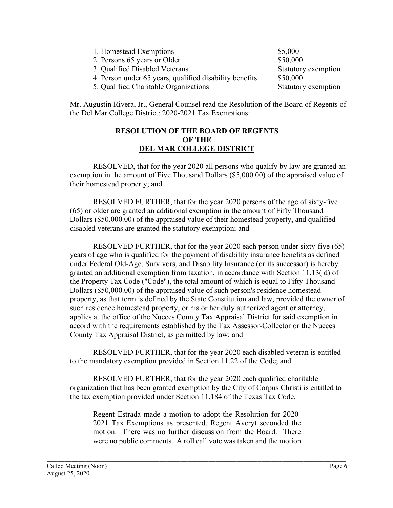| 1. Homestead Exemptions                                 | \$5,000             |
|---------------------------------------------------------|---------------------|
| 2. Persons 65 years or Older                            | \$50,000            |
| 3. Qualified Disabled Veterans                          | Statutory exemption |
| 4. Person under 65 years, qualified disability benefits | \$50,000            |
| 5. Qualified Charitable Organizations                   | Statutory exemption |

Mr. Augustin Rivera, Jr., General Counsel read the Resolution of the Board of Regents of the Del Mar College District: 2020-2021 Tax Exemptions:

#### **RESOLUTION OF THE BOARD OF REGENTS OF THE DEL MAR COLLEGE DISTRICT**

RESOLVED, that for the year 2020 all persons who qualify by law are granted an exemption in the amount of Five Thousand Dollars (\$5,000.00) of the appraised value of their homestead property; and

RESOLVED FURTHER, that for the year 2020 persons of the age of sixty-five (65) or older are granted an additional exemption in the amount of Fifty Thousand Dollars (\$50,000.00) of the appraised value of their homestead property, and qualified disabled veterans are granted the statutory exemption; and

RESOLVED FURTHER, that for the year 2020 each person under sixty-five (65) years of age who is qualified for the payment of disability insurance benefits as defined under Federal Old-Age, Survivors, and Disability Insurance (or its successor) is hereby granted an additional exemption from taxation, in accordance with Section 11.13( d) of the Property Tax Code ("Code"), the total amount of which is equal to Fifty Thousand Dollars (\$50,000.00) of the appraised value of such person's residence homestead property, as that term is defined by the State Constitution and law, provided the owner of such residence homestead property, or his or her duly authorized agent or attorney, applies at the office of the Nueces County Tax Appraisal District for said exemption in accord with the requirements established by the Tax Assessor-Collector or the Nueces County Tax Appraisal District, as permitted by law; and

RESOLVED FURTHER, that for the year 2020 each disabled veteran is entitled to the mandatory exemption provided in Section 11.22 of the Code; and

RESOLVED FURTHER, that for the year 2020 each qualified charitable organization that has been granted exemption by the City of Corpus Christi is entitled to the tax exemption provided under Section 11.184 of the Texas Tax Code.

Regent Estrada made a motion to adopt the Resolution for 2020- 2021 Tax Exemptions as presented. Regent Averyt seconded the motion. There was no further discussion from the Board. There were no public comments. A roll call vote was taken and the motion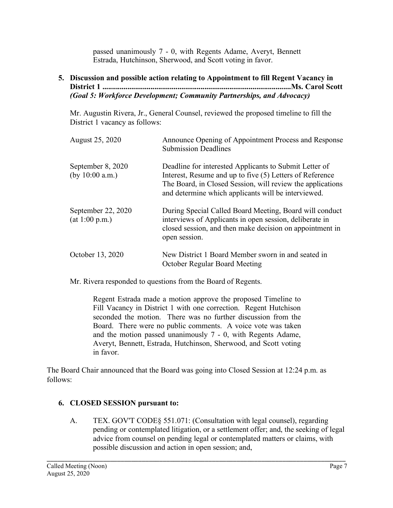passed unanimously 7 - 0, with Regents Adame, Averyt, Bennett Estrada, Hutchinson, Sherwood, and Scott voting in favor.

## **5. Discussion and possible action relating to Appointment to fill Regent Vacancy in District 1 ..................................................................................................Ms. Carol Scott** *(Goal 5: Workforce Development; Community Partnerships, and Advocacy)*

Mr. Augustin Rivera, Jr., General Counsel, reviewed the proposed timeline to fill the District 1 vacancy as follows:

| August 25, 2020                        | Announce Opening of Appointment Process and Response<br><b>Submission Deadlines</b>                                                                                                                                                     |
|----------------------------------------|-----------------------------------------------------------------------------------------------------------------------------------------------------------------------------------------------------------------------------------------|
| September 8, 2020<br>(by $10:00$ a.m.) | Deadline for interested Applicants to Submit Letter of<br>Interest, Resume and up to five (5) Letters of Reference<br>The Board, in Closed Session, will review the applications<br>and determine which applicants will be interviewed. |
| September 22, 2020<br>(at 1:00 p.m.)   | During Special Called Board Meeting, Board will conduct<br>interviews of Applicants in open session, deliberate in<br>closed session, and then make decision on appointment in<br>open session.                                         |
| October 13, 2020                       | New District 1 Board Member sworn in and seated in<br><b>October Regular Board Meeting</b>                                                                                                                                              |

Mr. Rivera responded to questions from the Board of Regents.

Regent Estrada made a motion approve the proposed Timeline to Fill Vacancy in District 1 with one correction. Regent Hutchison seconded the motion. There was no further discussion from the Board. There were no public comments. A voice vote was taken and the motion passed unanimously 7 - 0, with Regents Adame, Averyt, Bennett, Estrada, Hutchinson, Sherwood, and Scott voting in favor.

The Board Chair announced that the Board was going into Closed Session at 12:24 p.m. as follows:

# **6. CLOSED SESSION pursuant to:**

A. TEX. GOV'T CODE§ 551.071: (Consultation with legal counsel), regarding pending or contemplated litigation, or a settlement offer; and, the seeking of legal advice from counsel on pending legal or contemplated matters or claims, with possible discussion and action in open session; and,